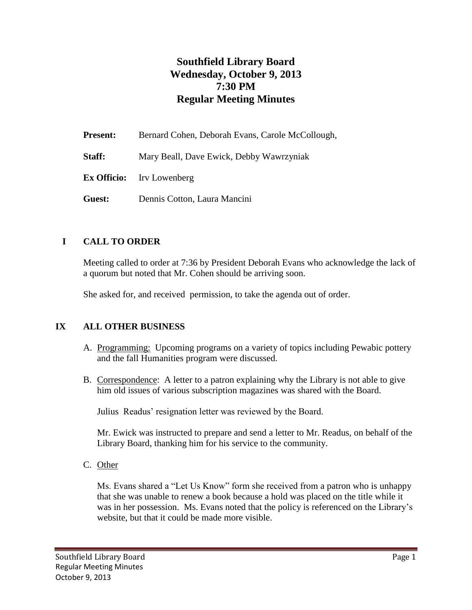# **Southfield Library Board Wednesday, October 9, 2013 7:30 PM Regular Meeting Minutes**

| <b>Present:</b> | Bernard Cohen, Deborah Evans, Carole McCollough, |
|-----------------|--------------------------------------------------|
| Staff:          | Mary Beall, Dave Ewick, Debby Wawrzyniak         |
|                 | <b>Ex Officio:</b> Irv Lowenberg                 |
| Guest:          | Dennis Cotton, Laura Mancini                     |

#### **I CALL TO ORDER**

Meeting called to order at 7:36 by President Deborah Evans who acknowledge the lack of a quorum but noted that Mr. Cohen should be arriving soon.

She asked for, and received permission, to take the agenda out of order.

#### **IX ALL OTHER BUSINESS**

- A. Programming: Upcoming programs on a variety of topics including Pewabic pottery and the fall Humanities program were discussed.
- B. Correspondence: A letter to a patron explaining why the Library is not able to give him old issues of various subscription magazines was shared with the Board.

Julius Readus' resignation letter was reviewed by the Board.

Mr. Ewick was instructed to prepare and send a letter to Mr. Readus, on behalf of the Library Board, thanking him for his service to the community.

C. Other

Ms. Evans shared a "Let Us Know" form she received from a patron who is unhappy that she was unable to renew a book because a hold was placed on the title while it was in her possession. Ms. Evans noted that the policy is referenced on the Library's website, but that it could be made more visible.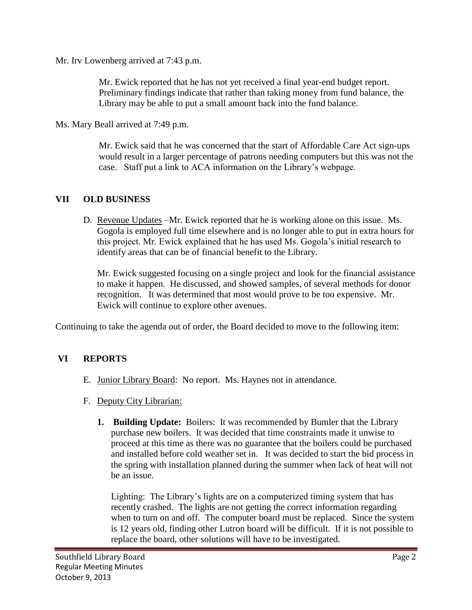Mr. Irv Lowenberg arrived at 7:43 p.m.

Mr. Ewick reported that he has not yet received a final year-end budget report. Preliminary findings indicate that rather than taking money from fund balance, the Library may be able to put a small amount back into the fund balance.

Ms. Mary Beall arrived at 7:49 p.m.

Mr. Ewick said that he was concerned that the start of Affordable Care Act sign-ups would result in a larger percentage of patrons needing computers but this was not the case. Staff put a link to ACA information on the Library's webpage.

### **VII OLD BUSINESS**

D. Revenue Updates –Mr. Ewick reported that he is working alone on this issue. Ms. Gogola is employed full time elsewhere and is no longer able to put in extra hours for this project. Mr. Ewick explained that he has used Ms. Gogola's initial research to identify areas that can be of financial benefit to the Library.

Mr. Ewick suggested focusing on a single project and look for the financial assistance to make it happen. He discussed, and showed samples, of several methods for donor recognition. It was determined that most would prove to be too expensive. Mr. Ewick will continue to explore other avenues.

Continuing to take the agenda out of order, the Board decided to move to the following item:

## **VI REPORTS**

- E. Junior Library Board: No report. Ms. Haynes not in attendance.
- F. Deputy City Librarian:
	- **1. Building Update:** Boilers: It was recommended by Bumler that the Library purchase new boilers. It was decided that time constraints made it unwise to proceed at this time as there was no guarantee that the boilers could be purchased and installed before cold weather set in. It was decided to start the bid process in the spring with installation planned during the summer when lack of heat will not be an issue.

Lighting: The Library's lights are on a computerized timing system that has recently crashed. The lights are not getting the correct information regarding when to turn on and off. The computer board must be replaced. Since the system is 12 years old, finding other Lutron board will be difficult. If it is not possible to replace the board, other solutions will have to be investigated.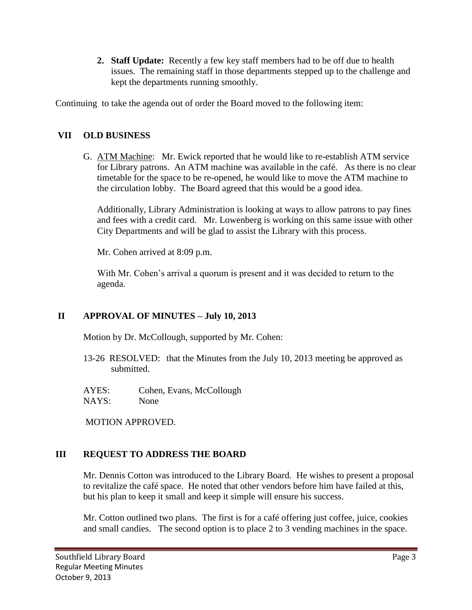**2. Staff Update:** Recently a few key staff members had to be off due to health issues. The remaining staff in those departments stepped up to the challenge and kept the departments running smoothly.

Continuing to take the agenda out of order the Board moved to the following item:

## **VII OLD BUSINESS**

G. ATM Machine: Mr. Ewick reported that he would like to re-establish ATM service for Library patrons. An ATM machine was available in the café. As there is no clear timetable for the space to be re-opened, he would like to move the ATM machine to the circulation lobby. The Board agreed that this would be a good idea.

Additionally, Library Administration is looking at ways to allow patrons to pay fines and fees with a credit card. Mr. Lowenberg is working on this same issue with other City Departments and will be glad to assist the Library with this process.

Mr. Cohen arrived at 8:09 p.m.

With Mr. Cohen's arrival a quorum is present and it was decided to return to the agenda.

# **II APPROVAL OF MINUTES – July 10, 2013**

Motion by Dr. McCollough, supported by Mr. Cohen:

- 13-26 RESOLVED: that the Minutes from the July 10, 2013 meeting be approved as submitted.
- AYES: Cohen, Evans, McCollough NAYS: None

MOTION APPROVED.

## **III REQUEST TO ADDRESS THE BOARD**

Mr. Dennis Cotton was introduced to the Library Board. He wishes to present a proposal to revitalize the café space. He noted that other vendors before him have failed at this, but his plan to keep it small and keep it simple will ensure his success.

Mr. Cotton outlined two plans. The first is for a café offering just coffee, juice, cookies and small candies. The second option is to place 2 to 3 vending machines in the space.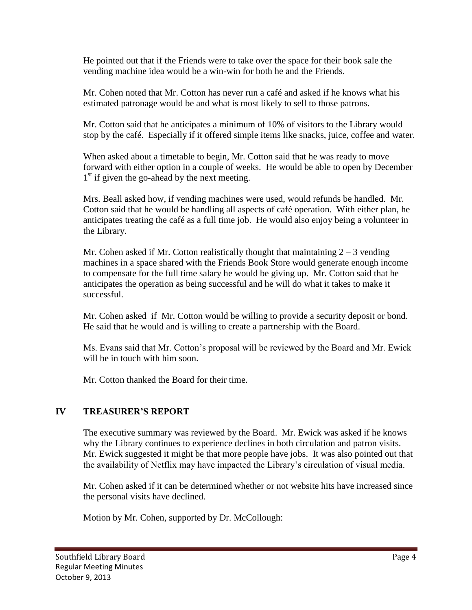He pointed out that if the Friends were to take over the space for their book sale the vending machine idea would be a win-win for both he and the Friends.

Mr. Cohen noted that Mr. Cotton has never run a café and asked if he knows what his estimated patronage would be and what is most likely to sell to those patrons.

Mr. Cotton said that he anticipates a minimum of 10% of visitors to the Library would stop by the café. Especially if it offered simple items like snacks, juice, coffee and water.

When asked about a timetable to begin, Mr. Cotton said that he was ready to move forward with either option in a couple of weeks. He would be able to open by December 1<sup>st</sup> if given the go-ahead by the next meeting.

Mrs. Beall asked how, if vending machines were used, would refunds be handled. Mr. Cotton said that he would be handling all aspects of café operation. With either plan, he anticipates treating the café as a full time job. He would also enjoy being a volunteer in the Library.

Mr. Cohen asked if Mr. Cotton realistically thought that maintaining  $2 - 3$  vending machines in a space shared with the Friends Book Store would generate enough income to compensate for the full time salary he would be giving up. Mr. Cotton said that he anticipates the operation as being successful and he will do what it takes to make it successful.

Mr. Cohen asked if Mr. Cotton would be willing to provide a security deposit or bond. He said that he would and is willing to create a partnership with the Board.

Ms. Evans said that Mr. Cotton's proposal will be reviewed by the Board and Mr. Ewick will be in touch with him soon.

Mr. Cotton thanked the Board for their time.

## **IV TREASURER'S REPORT**

The executive summary was reviewed by the Board. Mr. Ewick was asked if he knows why the Library continues to experience declines in both circulation and patron visits. Mr. Ewick suggested it might be that more people have jobs. It was also pointed out that the availability of Netflix may have impacted the Library's circulation of visual media.

Mr. Cohen asked if it can be determined whether or not website hits have increased since the personal visits have declined.

Motion by Mr. Cohen, supported by Dr. McCollough: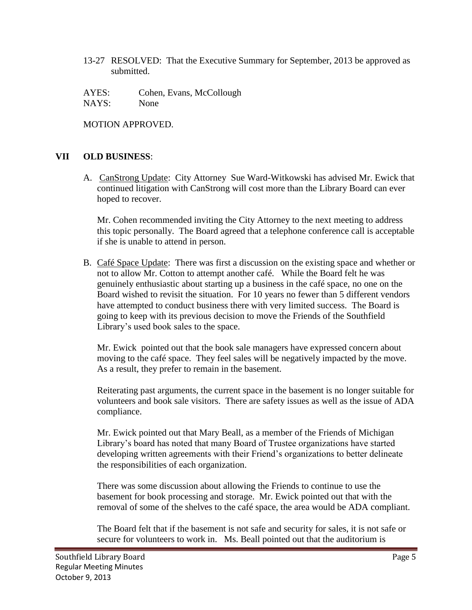13-27 RESOLVED: That the Executive Summary for September, 2013 be approved as submitted.

AYES: Cohen, Evans, McCollough NAYS: None

MOTION APPROVED.

### **VII OLD BUSINESS**:

A. CanStrong Update: City Attorney Sue Ward-Witkowski has advised Mr. Ewick that continued litigation with CanStrong will cost more than the Library Board can ever hoped to recover.

Mr. Cohen recommended inviting the City Attorney to the next meeting to address this topic personally. The Board agreed that a telephone conference call is acceptable if she is unable to attend in person.

B. Café Space Update: There was first a discussion on the existing space and whether or not to allow Mr. Cotton to attempt another café. While the Board felt he was genuinely enthusiastic about starting up a business in the café space, no one on the Board wished to revisit the situation. For 10 years no fewer than 5 different vendors have attempted to conduct business there with very limited success. The Board is going to keep with its previous decision to move the Friends of the Southfield Library's used book sales to the space.

Mr. Ewick pointed out that the book sale managers have expressed concern about moving to the café space. They feel sales will be negatively impacted by the move. As a result, they prefer to remain in the basement.

Reiterating past arguments, the current space in the basement is no longer suitable for volunteers and book sale visitors. There are safety issues as well as the issue of ADA compliance.

Mr. Ewick pointed out that Mary Beall, as a member of the Friends of Michigan Library's board has noted that many Board of Trustee organizations have started developing written agreements with their Friend's organizations to better delineate the responsibilities of each organization.

There was some discussion about allowing the Friends to continue to use the basement for book processing and storage. Mr. Ewick pointed out that with the removal of some of the shelves to the café space, the area would be ADA compliant.

The Board felt that if the basement is not safe and security for sales, it is not safe or secure for volunteers to work in. Ms. Beall pointed out that the auditorium is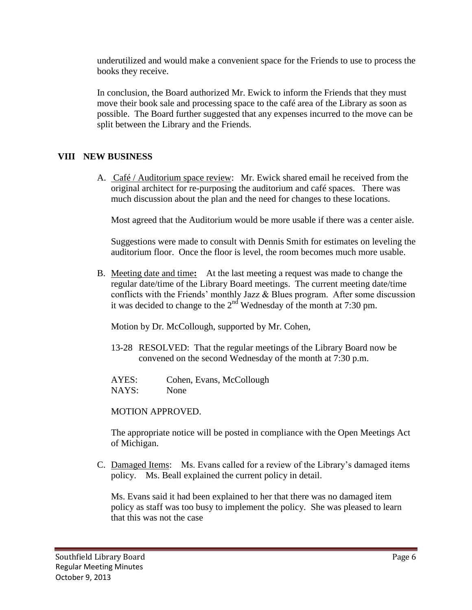underutilized and would make a convenient space for the Friends to use to process the books they receive.

In conclusion, the Board authorized Mr. Ewick to inform the Friends that they must move their book sale and processing space to the café area of the Library as soon as possible. The Board further suggested that any expenses incurred to the move can be split between the Library and the Friends.

### **VIII NEW BUSINESS**

A. Café / Auditorium space review: Mr. Ewick shared email he received from the original architect for re-purposing the auditorium and café spaces. There was much discussion about the plan and the need for changes to these locations.

Most agreed that the Auditorium would be more usable if there was a center aisle.

Suggestions were made to consult with Dennis Smith for estimates on leveling the auditorium floor. Once the floor is level, the room becomes much more usable.

B. Meeting date and time**:** At the last meeting a request was made to change the regular date/time of the Library Board meetings. The current meeting date/time conflicts with the Friends' monthly Jazz & Blues program. After some discussion it was decided to change to the  $2<sup>nd</sup>$  Wednesday of the month at 7:30 pm.

Motion by Dr. McCollough, supported by Mr. Cohen,

- 13-28 RESOLVED: That the regular meetings of the Library Board now be convened on the second Wednesday of the month at 7:30 p.m.
- AYES: Cohen, Evans, McCollough NAYS: None

MOTION APPROVED.

The appropriate notice will be posted in compliance with the Open Meetings Act of Michigan.

C. Damaged Items: Ms. Evans called for a review of the Library's damaged items policy. Ms. Beall explained the current policy in detail.

Ms. Evans said it had been explained to her that there was no damaged item policy as staff was too busy to implement the policy. She was pleased to learn that this was not the case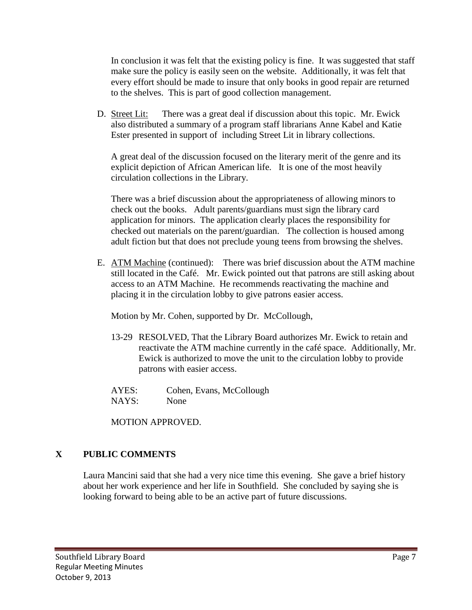In conclusion it was felt that the existing policy is fine. It was suggested that staff make sure the policy is easily seen on the website. Additionally, it was felt that every effort should be made to insure that only books in good repair are returned to the shelves. This is part of good collection management.

D. Street Lit: There was a great deal if discussion about this topic. Mr. Ewick also distributed a summary of a program staff librarians Anne Kabel and Katie Ester presented in support of including Street Lit in library collections.

A great deal of the discussion focused on the literary merit of the genre and its explicit depiction of African American life. It is one of the most heavily circulation collections in the Library.

There was a brief discussion about the appropriateness of allowing minors to check out the books. Adult parents/guardians must sign the library card application for minors. The application clearly places the responsibility for checked out materials on the parent/guardian. The collection is housed among adult fiction but that does not preclude young teens from browsing the shelves.

E. ATM Machine (continued): There was brief discussion about the ATM machine still located in the Café. Mr. Ewick pointed out that patrons are still asking about access to an ATM Machine. He recommends reactivating the machine and placing it in the circulation lobby to give patrons easier access.

Motion by Mr. Cohen, supported by Dr. McCollough,

13-29 RESOLVED, That the Library Board authorizes Mr. Ewick to retain and reactivate the ATM machine currently in the café space. Additionally, Mr. Ewick is authorized to move the unit to the circulation lobby to provide patrons with easier access.

AYES: Cohen, Evans, McCollough NAYS: None

MOTION APPROVED.

# **X PUBLIC COMMENTS**

Laura Mancini said that she had a very nice time this evening. She gave a brief history about her work experience and her life in Southfield. She concluded by saying she is looking forward to being able to be an active part of future discussions.